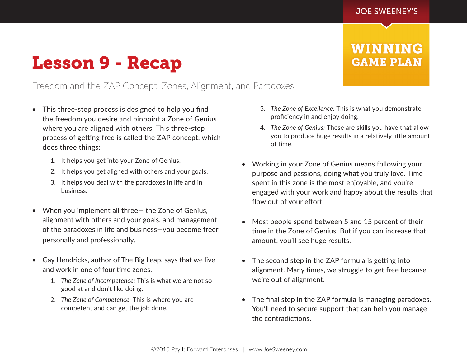**WINNING** 

**GAME PLAN** 

## Lesson 9 - Recap

## Freedom and the ZAP Concept: Zones, Alignment, and Paradoxes

- This three-step process is designed to help you find the freedom you desire and pinpoint a Zone of Genius where you are aligned with others. This three-step process of getting free is called the ZAP concept, which does three things:
	- 1. It helps you get into your Zone of Genius.
	- 2. It helps you get aligned with others and your goals.
	- 3. It helps you deal with the paradoxes in life and in business.
- When you implement all three— the Zone of Genius, alignment with others and your goals, and management of the paradoxes in life and business—you become freer personally and professionally.
- Gay Hendricks, author of The Big Leap, says that we live and work in one of four time zones.
	- 1. *The Zone of Incompetence:* This is what we are not so good at and don't like doing.
	- 2. *The Zone of Competence:* This is where you are competent and can get the job done.
- 3. *The Zone of Excellence:* This is what you demonstrate proficiency in and enjoy doing.
- 4. *The Zone of Genius:* These are skills you have that allow you to produce huge results in a relatively little amount of time.
- Working in your Zone of Genius means following your purpose and passions, doing what you truly love. Time spent in this zone is the most enjoyable, and you're engaged with your work and happy about the results that flow out of your effort.
- Most people spend between 5 and 15 percent of their time in the Zone of Genius. But if you can increase that amount, you'll see huge results.
- The second step in the ZAP formula is getting into alignment. Many times, we struggle to get free because we're out of alignment.
- The final step in the ZAP formula is managing paradoxes. You'll need to secure support that can help you manage the contradictions.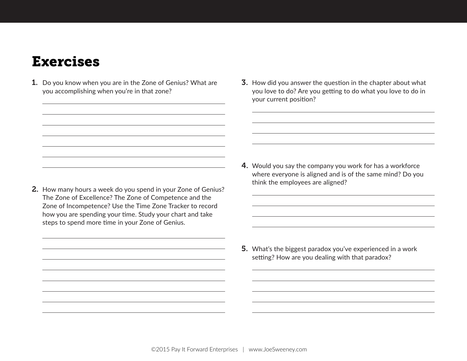## Exercises

- 1. Do you know when you are in the Zone of Genius? What are you accomplishing when you're in that zone?
- 3. How did you answer the question in the chapter about what you love to do? Are you getting to do what you love to do in your current position?

- 4. Would you say the company you work for has a workforce where everyone is aligned and is of the same mind? Do you think the employees are aligned?
- The Zone of Excellence? The Zone of Competence and the Zone of Incompetence? Use the Time Zone Tracker to record how you are spending your time. Study your chart and take steps to spend more time in your Zone of Genius.

2. How many hours a week do you spend in your Zone of Genius?

5. What's the biggest paradox you've experienced in a work setting? How are you dealing with that paradox?